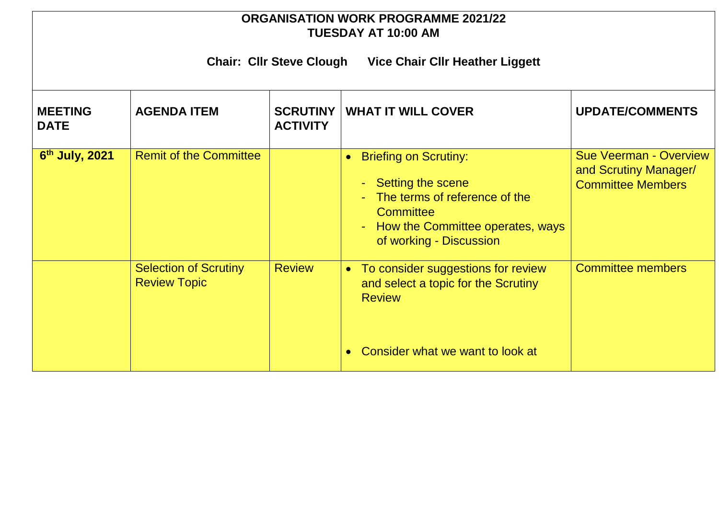## **ORGANISATION WORK PROGRAMME 2021/22 TUESDAY AT 10:00 AM**

**Chair: Cllr Steve Clough Vice Chair Cllr Heather Liggett**

| <b>MEETING</b><br><b>DATE</b> | <b>AGENDA ITEM</b>                                  | <b>SCRUTINY</b><br><b>ACTIVITY</b> | <b>WHAT IT WILL COVER</b>                                                                                                                                                                    | <b>UPDATE/COMMENTS</b>                                                             |  |
|-------------------------------|-----------------------------------------------------|------------------------------------|----------------------------------------------------------------------------------------------------------------------------------------------------------------------------------------------|------------------------------------------------------------------------------------|--|
| 6 <sup>th</sup> July, 2021    | <b>Remit of the Committee</b>                       |                                    | <b>Briefing on Scrutiny:</b><br>$\bullet$<br>Setting the scene<br>The terms of reference of the<br><b>Committee</b><br>How the Committee operates, ways<br>$\sim$<br>of working - Discussion | <b>Sue Veerman - Overview</b><br>and Scrutiny Manager/<br><b>Committee Members</b> |  |
|                               | <b>Selection of Scrutiny</b><br><b>Review Topic</b> | <b>Review</b>                      | To consider suggestions for review<br>$\bullet$<br>and select a topic for the Scrutiny<br><b>Review</b><br>Consider what we want to look at                                                  | <b>Committee members</b>                                                           |  |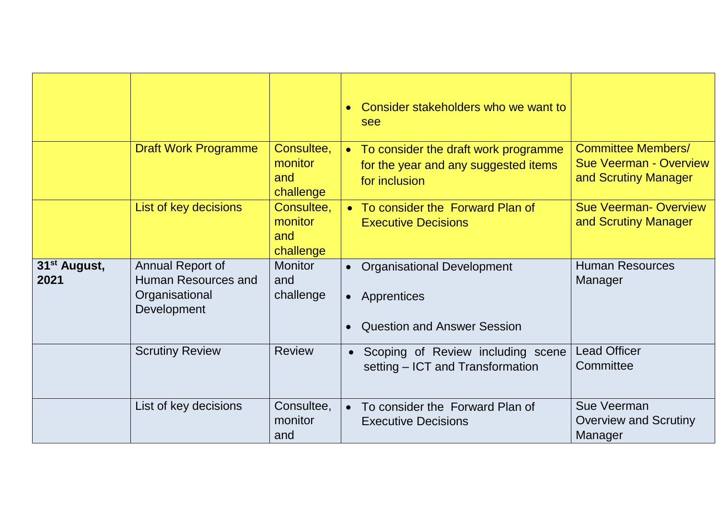|                                  |                                                                                 |                                           | Consider stakeholders who we want to<br>see                                                     |                                                                                    |
|----------------------------------|---------------------------------------------------------------------------------|-------------------------------------------|-------------------------------------------------------------------------------------------------|------------------------------------------------------------------------------------|
|                                  | <b>Draft Work Programme</b>                                                     | Consultee,<br>monitor<br>and<br>challenge | • To consider the draft work programme<br>for the year and any suggested items<br>for inclusion | <b>Committee Members/</b><br><b>Sue Veerman - Overview</b><br>and Scrutiny Manager |
|                                  | List of key decisions                                                           | Consultee,<br>monitor<br>and<br>challenge | • To consider the Forward Plan of<br><b>Executive Decisions</b>                                 | <b>Sue Veerman-Overview</b><br>and Scrutiny Manager                                |
| 31 <sup>st</sup> August,<br>2021 | <b>Annual Report of</b><br>Human Resources and<br>Organisational<br>Development | <b>Monitor</b><br>and<br>challenge        | <b>Organisational Development</b><br>• Apprentices<br><b>Question and Answer Session</b>        | <b>Human Resources</b><br>Manager                                                  |
|                                  | <b>Scrutiny Review</b>                                                          | <b>Review</b>                             | Scoping of Review including scene<br>$\bullet$<br>setting – ICT and Transformation              | <b>Lead Officer</b><br>Committee                                                   |
|                                  | List of key decisions                                                           | Consultee,<br>monitor<br>and              | To consider the Forward Plan of<br><b>Executive Decisions</b>                                   | Sue Veerman<br><b>Overview and Scrutiny</b><br>Manager                             |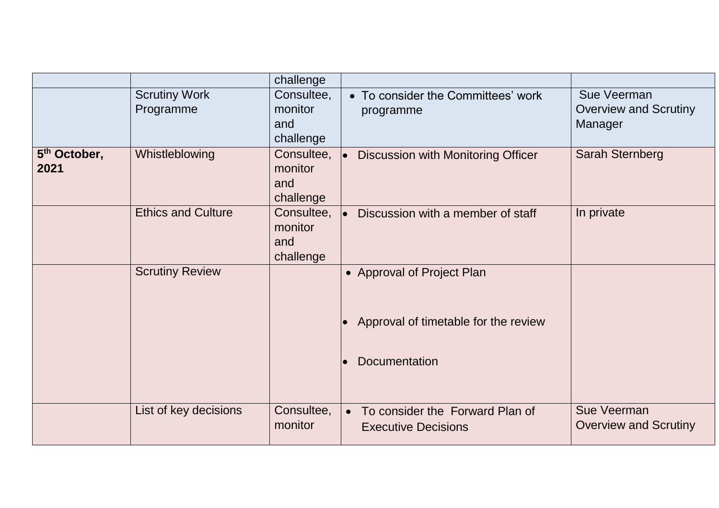|                                  |                                   | challenge                                 |                                                                                     |                                                        |
|----------------------------------|-----------------------------------|-------------------------------------------|-------------------------------------------------------------------------------------|--------------------------------------------------------|
|                                  | <b>Scrutiny Work</b><br>Programme | Consultee,<br>monitor<br>and<br>challenge | • To consider the Committees' work<br>programme                                     | Sue Veerman<br><b>Overview and Scrutiny</b><br>Manager |
| 5 <sup>th</sup> October,<br>2021 | Whistleblowing                    | Consultee,<br>monitor<br>and<br>challenge | <b>Discussion with Monitoring Officer</b><br>$\bullet$                              | <b>Sarah Sternberg</b>                                 |
|                                  | <b>Ethics and Culture</b>         | Consultee,<br>monitor<br>and<br>challenge | Discussion with a member of staff<br>I۰                                             | In private                                             |
|                                  | <b>Scrutiny Review</b>            |                                           | • Approval of Project Plan<br>Approval of timetable for the review<br>Documentation |                                                        |
|                                  | List of key decisions             | Consultee,<br>monitor                     | • To consider the Forward Plan of<br><b>Executive Decisions</b>                     | Sue Veerman<br><b>Overview and Scrutiny</b>            |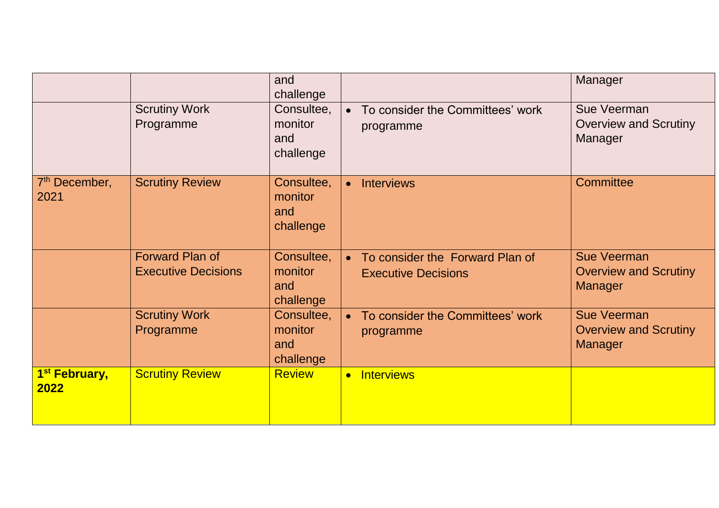|                                   |                                                      | and<br>challenge                          |                                                               | Manager                                                              |
|-----------------------------------|------------------------------------------------------|-------------------------------------------|---------------------------------------------------------------|----------------------------------------------------------------------|
|                                   | <b>Scrutiny Work</b><br>Programme                    | Consultee,<br>monitor<br>and<br>challenge | To consider the Committees' work<br>programme                 | Sue Veerman<br><b>Overview and Scrutiny</b><br>Manager               |
| $7th$ December,<br>2021           | <b>Scrutiny Review</b>                               | Consultee,<br>monitor<br>and<br>challenge | <b>Interviews</b><br>$\bullet$                                | <b>Committee</b>                                                     |
|                                   | <b>Forward Plan of</b><br><b>Executive Decisions</b> | Consultee,<br>monitor<br>and<br>challenge | To consider the Forward Plan of<br><b>Executive Decisions</b> | <b>Sue Veerman</b><br><b>Overview and Scrutiny</b><br>Manager        |
|                                   | <b>Scrutiny Work</b><br>Programme                    | Consultee,<br>monitor<br>and<br>challenge | To consider the Committees' work<br>programme                 | <b>Sue Veerman</b><br><b>Overview and Scrutiny</b><br><b>Manager</b> |
| 1 <sup>st</sup> February,<br>2022 | <b>Scrutiny Review</b>                               | <b>Review</b>                             | • Interviews                                                  |                                                                      |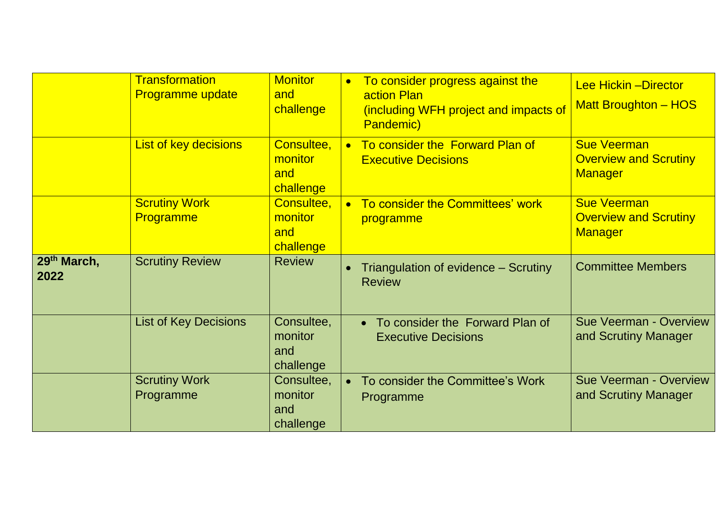|                                 | <b>Transformation</b><br><b>Programme update</b> | <b>Monitor</b><br>and<br>challenge        | To consider progress against the<br>$\bullet$<br><b>action Plan</b><br>(including WFH project and impacts of<br>Pandemic) | <b>Lee Hickin - Director</b><br><b>Matt Broughton - HOS</b>          |
|---------------------------------|--------------------------------------------------|-------------------------------------------|---------------------------------------------------------------------------------------------------------------------------|----------------------------------------------------------------------|
|                                 | List of key decisions                            | Consultee,<br>monitor<br>and<br>challenge | To consider the Forward Plan of<br><b>Executive Decisions</b>                                                             | <b>Sue Veerman</b><br><b>Overview and Scrutiny</b><br><b>Manager</b> |
|                                 | <b>Scrutiny Work</b><br><b>Programme</b>         | Consultee,<br>monitor<br>and<br>challenge | To consider the Committees' work<br>programme                                                                             | <b>Sue Veerman</b><br><b>Overview and Scrutiny</b><br><b>Manager</b> |
| 29 <sup>th</sup> March,<br>2022 | <b>Scrutiny Review</b>                           | <b>Review</b>                             | Triangulation of evidence – Scrutiny<br><b>Review</b>                                                                     | <b>Committee Members</b>                                             |
|                                 | <b>List of Key Decisions</b>                     | Consultee,<br>monitor<br>and<br>challenge | • To consider the Forward Plan of<br><b>Executive Decisions</b>                                                           | <b>Sue Veerman - Overview</b><br>and Scrutiny Manager                |
|                                 | <b>Scrutiny Work</b><br>Programme                | Consultee,<br>monitor<br>and<br>challenge | To consider the Committee's Work<br>Programme                                                                             | <b>Sue Veerman - Overview</b><br>and Scrutiny Manager                |